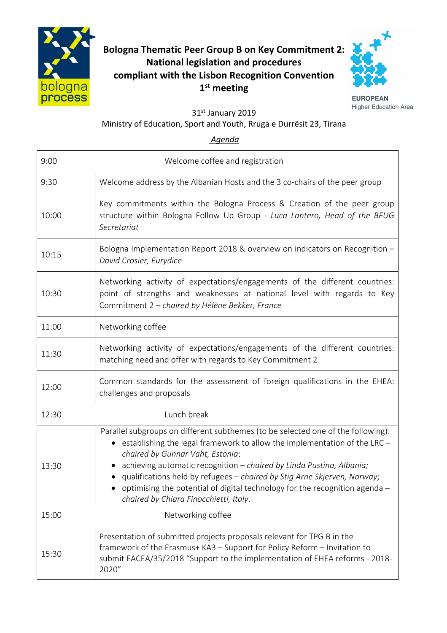

## **Bologna Thematic Peer Group B on Key Commitment 2: National legislation and procedures compliant with the Lisbon Recognition Convention 1 st meeting**



**EUROPEAN Higher Education Area** 

31st January 2019

## Ministry of Education, Sport and Youth, Rruga e Durrësit 23, Tirana

*Agenda*

| 9:00  | Welcome coffee and registration                                                                                                                                                                                                                                                                                                                                                                                                                                                                         |
|-------|---------------------------------------------------------------------------------------------------------------------------------------------------------------------------------------------------------------------------------------------------------------------------------------------------------------------------------------------------------------------------------------------------------------------------------------------------------------------------------------------------------|
| 9:30  | Welcome address by the Albanian Hosts and the 3 co-chairs of the peer group                                                                                                                                                                                                                                                                                                                                                                                                                             |
| 10:00 | Key commitments within the Bologna Process & Creation of the peer group<br>structure within Bologna Follow Up Group - Luca Lantero, Head of the BFUG<br>Secretariat                                                                                                                                                                                                                                                                                                                                     |
| 10:15 | Bologna Implementation Report 2018 & overview on indicators on Recognition -<br>David Crosier, Eurydice                                                                                                                                                                                                                                                                                                                                                                                                 |
| 10:30 | Networking activity of expectations/engagements of the different countries:<br>point of strengths and weaknesses at national level with regards to Key<br>Commitment 2 - chaired by Hélène Bekker, France                                                                                                                                                                                                                                                                                               |
| 11:00 | Networking coffee                                                                                                                                                                                                                                                                                                                                                                                                                                                                                       |
| 11:30 | Networking activity of expectations/engagements of the different countries:<br>matching need and offer with regards to Key Commitment 2                                                                                                                                                                                                                                                                                                                                                                 |
| 12:00 | Common standards for the assessment of foreign qualifications in the EHEA:<br>challenges and proposals                                                                                                                                                                                                                                                                                                                                                                                                  |
| 12:30 | Lunch break                                                                                                                                                                                                                                                                                                                                                                                                                                                                                             |
| 13:30 | Parallel subgroups on different subthemes (to be selected one of the following):<br>establishing the legal framework to allow the implementation of the LRC -<br>$\bullet$<br>chaired by Gunnar Vaht, Estonia;<br>achieving automatic recognition - chaired by Linda Pustina, Albania;<br>qualifications held by refugees - chaired by Stig Arne Skjerven, Norway;<br>$\bullet$ optimising the potential of digital technology for the recognition agenda $-$<br>chaired by Chiara Finocchietti, Italy. |
| 15:00 | Networking coffee                                                                                                                                                                                                                                                                                                                                                                                                                                                                                       |
| 15:30 | Presentation of submitted projects proposals relevant for TPG B in the<br>framework of the Erasmus+ KA3 - Support for Policy Reform - Invitation to<br>submit EACEA/35/2018 "Support to the implementation of EHEA reforms - 2018-<br>2020"                                                                                                                                                                                                                                                             |